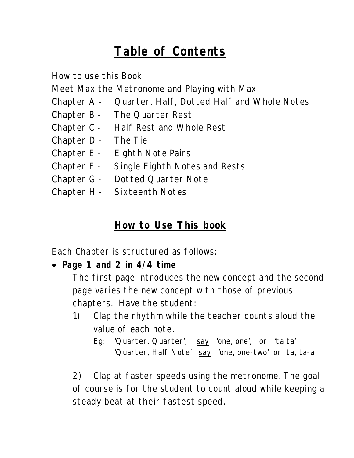# **Table of Contents**

How to use this Book Meet Max the Metronome and Playing with Max Chapter A - Quarter, Half, Dotted Half and Whole Notes Chapter B - The Quarter Rest Chapter C - Half Rest and Whole Rest Chapter D - The Tie Chapter E - Eighth Note Pairs Chapter F - Single Eighth Notes and Rests Chapter G - Dotted Quarter Note Chapter H - Sixteenth Notes

## **How to Use This book**

Each Chapter is structured as follows:

• **Page 1 and 2 in 4/4 time** 

The first page introduces the new concept and the second page varies the new concept with those of previous chapters. Have the student:

- 1) Clap the rhythm while the teacher counts aloud the value of each note.
	- Eg: 'Quarter, Quarter', say 'one, one', or 'ta ta' 'Quarter, Half Note' say 'one, one-two' or ta, ta-a

2) Clap at faster speeds using the metronome. The goal of course is for the student to count aloud while keeping a steady beat at their fastest speed.